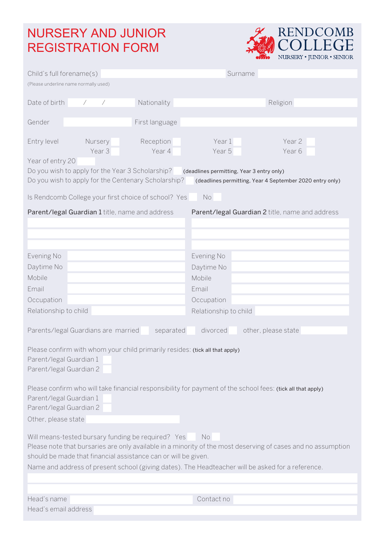## NURSERY AND JUNIOR REGISTRATION FORM



| Child's full forename(s)                                                                                                                                                                                                                                                                                                                                                                                                                                                                                                                                                                                                                                             | Surname               |  |  |
|----------------------------------------------------------------------------------------------------------------------------------------------------------------------------------------------------------------------------------------------------------------------------------------------------------------------------------------------------------------------------------------------------------------------------------------------------------------------------------------------------------------------------------------------------------------------------------------------------------------------------------------------------------------------|-----------------------|--|--|
| (Please underline name normally used)                                                                                                                                                                                                                                                                                                                                                                                                                                                                                                                                                                                                                                |                       |  |  |
| Date of birth<br>Nationality<br>Γ                                                                                                                                                                                                                                                                                                                                                                                                                                                                                                                                                                                                                                    | Religion              |  |  |
|                                                                                                                                                                                                                                                                                                                                                                                                                                                                                                                                                                                                                                                                      |                       |  |  |
| First language<br>Gender                                                                                                                                                                                                                                                                                                                                                                                                                                                                                                                                                                                                                                             |                       |  |  |
| Entry level<br>Nursery<br>Reception                                                                                                                                                                                                                                                                                                                                                                                                                                                                                                                                                                                                                                  | Year 1<br>Year 2      |  |  |
| Year 3<br>Year 4                                                                                                                                                                                                                                                                                                                                                                                                                                                                                                                                                                                                                                                     | Year 5<br>Year 6      |  |  |
| Year of entry 20                                                                                                                                                                                                                                                                                                                                                                                                                                                                                                                                                                                                                                                     |                       |  |  |
| Do you wish to apply for the Year 3 Scholarship?<br>(deadlines permitting, Year 3 entry only)<br>Do you wish to apply for the Centenary Scholarship?<br>(deadlines permitting, Year 4 September 2020 entry only)                                                                                                                                                                                                                                                                                                                                                                                                                                                     |                       |  |  |
| Is Rendcomb College your first choice of school? Yes<br>No                                                                                                                                                                                                                                                                                                                                                                                                                                                                                                                                                                                                           |                       |  |  |
| Parent/legal Guardian 1 title, name and address<br>Parent/legal Guardian 2 title, name and address                                                                                                                                                                                                                                                                                                                                                                                                                                                                                                                                                                   |                       |  |  |
|                                                                                                                                                                                                                                                                                                                                                                                                                                                                                                                                                                                                                                                                      |                       |  |  |
| Evening No                                                                                                                                                                                                                                                                                                                                                                                                                                                                                                                                                                                                                                                           | Evening No            |  |  |
| Daytime No                                                                                                                                                                                                                                                                                                                                                                                                                                                                                                                                                                                                                                                           | Daytime No            |  |  |
| Mobile                                                                                                                                                                                                                                                                                                                                                                                                                                                                                                                                                                                                                                                               | Mobile                |  |  |
| Email                                                                                                                                                                                                                                                                                                                                                                                                                                                                                                                                                                                                                                                                | Email                 |  |  |
| Occupation                                                                                                                                                                                                                                                                                                                                                                                                                                                                                                                                                                                                                                                           | Occupation            |  |  |
| Relationship to child                                                                                                                                                                                                                                                                                                                                                                                                                                                                                                                                                                                                                                                | Relationship to child |  |  |
| Parents/legal Guardians are married<br>separated<br>divorced<br>other, please state<br>Please confirm with whom your child primarily resides: (tick all that apply)<br>Parent/legal Guardian 1<br>Parent/legal Guardian 2<br>Please confirm who will take financial responsibility for payment of the school fees: (tick all that apply)<br>Parent/legal Guardian 1<br>Parent/legal Guardian 2<br>Other, please state<br>Will means-tested bursary funding be required? Yes<br>No.<br>Please note that bursaries are only available in a minority of the most deserving of cases and no assumption<br>should be made that financial assistance can or will be given. |                       |  |  |
| Name and address of present school (giving dates). The Headteacher will be asked for a reference.                                                                                                                                                                                                                                                                                                                                                                                                                                                                                                                                                                    |                       |  |  |
|                                                                                                                                                                                                                                                                                                                                                                                                                                                                                                                                                                                                                                                                      |                       |  |  |
|                                                                                                                                                                                                                                                                                                                                                                                                                                                                                                                                                                                                                                                                      |                       |  |  |
| Head's name                                                                                                                                                                                                                                                                                                                                                                                                                                                                                                                                                                                                                                                          | Contact no            |  |  |
| Head's email address                                                                                                                                                                                                                                                                                                                                                                                                                                                                                                                                                                                                                                                 |                       |  |  |